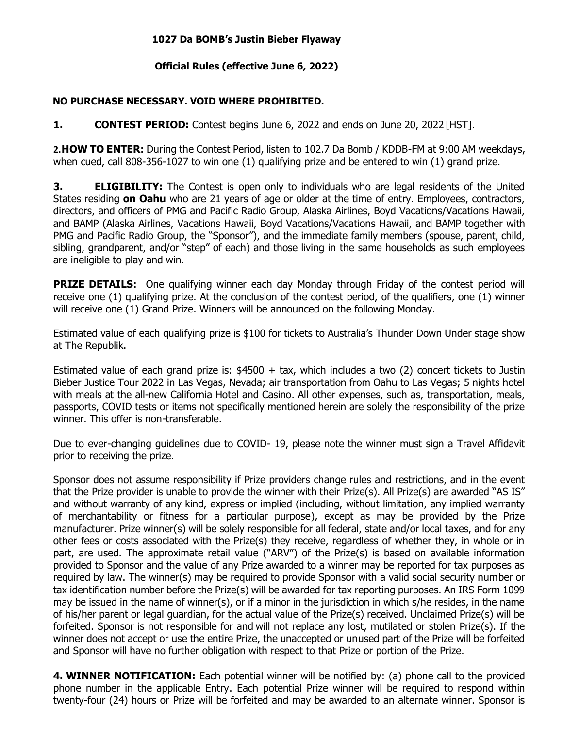## **1027 Da BOMB's Justin Bieber Flyaway**

## **Official Rules (effective June 6, 2022)**

## **NO PURCHASE NECESSARY. VOID WHERE PROHIBITED.**

**1. CONTEST PERIOD:** Contest begins June 6, 2022 and ends on June 20, 2022 [HST].

**2.HOW TO ENTER:** During the Contest Period, listen to 102.7 Da Bomb / KDDB-FM at 9:00 AM weekdays, when cued, call 808-356-1027 to win one (1) qualifying prize and be entered to win (1) grand prize.

**3. ELIGIBILITY:** The Contest is open only to individuals who are legal residents of the United States residing **on Oahu** who are 21 years of age or older at the time of entry. Employees, contractors, directors, and officers of PMG and Pacific Radio Group, Alaska Airlines, Boyd Vacations/Vacations Hawaii, and BAMP (Alaska Airlines, Vacations Hawaii, Boyd Vacations/Vacations Hawaii, and BAMP together with PMG and Pacific Radio Group, the "Sponsor"), and the immediate family members (spouse, parent, child, sibling, grandparent, and/or "step" of each) and those living in the same households as such employees are ineligible to play and win.

**PRIZE DETAILS:** One qualifying winner each day Monday through Friday of the contest period will receive one (1) qualifying prize. At the conclusion of the contest period, of the qualifiers, one (1) winner will receive one (1) Grand Prize. Winners will be announced on the following Monday.

Estimated value of each qualifying prize is \$100 for tickets to Australia's Thunder Down Under stage show at The Republik.

Estimated value of each grand prize is: \$4500 + tax, which includes a two (2) concert tickets to Justin Bieber Justice Tour 2022 in Las Vegas, Nevada; air transportation from Oahu to Las Vegas; 5 nights hotel with meals at the all-new California Hotel and Casino. All other expenses, such as, transportation, meals, passports, COVID tests or items not specifically mentioned herein are solely the responsibility of the prize winner. This offer is non-transferable.

Due to ever-changing guidelines due to COVID- 19, please note the winner must sign a Travel Affidavit prior to receiving the prize.

Sponsor does not assume responsibility if Prize providers change rules and restrictions, and in the event that the Prize provider is unable to provide the winner with their Prize(s). All Prize(s) are awarded "AS IS" and without warranty of any kind, express or implied (including, without limitation, any implied warranty of merchantability or fitness for a particular purpose), except as may be provided by the Prize manufacturer. Prize winner(s) will be solely responsible for all federal, state and/or local taxes, and for any other fees or costs associated with the Prize(s) they receive, regardless of whether they, in whole or in part, are used. The approximate retail value ("ARV") of the Prize(s) is based on available information provided to Sponsor and the value of any Prize awarded to a winner may be reported for tax purposes as required by law. The winner(s) may be required to provide Sponsor with a valid social security number or tax identification number before the Prize(s) will be awarded for tax reporting purposes. An IRS Form 1099 may be issued in the name of winner(s), or if a minor in the jurisdiction in which s/he resides, in the name of his/her parent or legal guardian, for the actual value of the Prize(s) received. Unclaimed Prize(s) will be forfeited. Sponsor is not responsible for and will not replace any lost, mutilated or stolen Prize(s). If the winner does not accept or use the entire Prize, the unaccepted or unused part of the Prize will be forfeited and Sponsor will have no further obligation with respect to that Prize or portion of the Prize.

**4. WINNER NOTIFICATION:** Each potential winner will be notified by: (a) phone call to the provided phone number in the applicable Entry. Each potential Prize winner will be required to respond within twenty-four (24) hours or Prize will be forfeited and may be awarded to an alternate winner. Sponsor is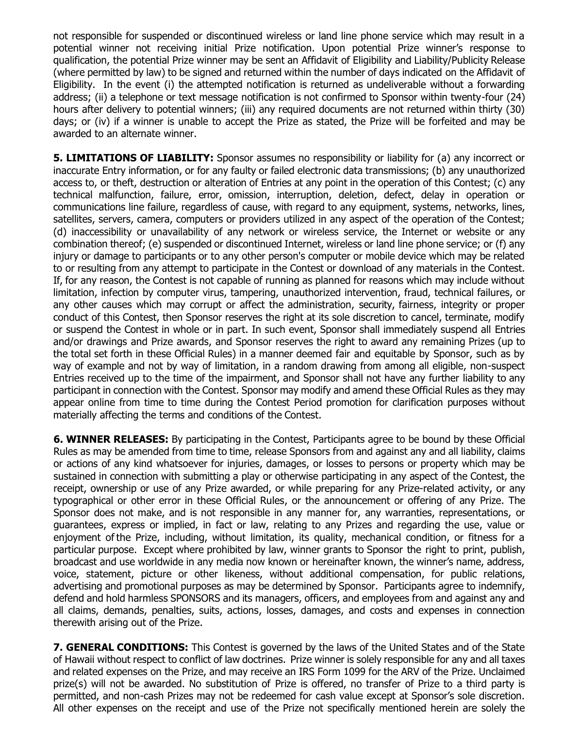not responsible for suspended or discontinued wireless or land line phone service which may result in a potential winner not receiving initial Prize notification. Upon potential Prize winner's response to qualification, the potential Prize winner may be sent an Affidavit of Eligibility and Liability/Publicity Release (where permitted by law) to be signed and returned within the number of days indicated on the Affidavit of Eligibility. In the event (i) the attempted notification is returned as undeliverable without a forwarding address; (ii) a telephone or text message notification is not confirmed to Sponsor within twenty-four (24) hours after delivery to potential winners; (iii) any required documents are not returned within thirty (30) days; or (iv) if a winner is unable to accept the Prize as stated, the Prize will be forfeited and may be awarded to an alternate winner.

**5. LIMITATIONS OF LIABILITY:** Sponsor assumes no responsibility or liability for (a) any incorrect or inaccurate Entry information, or for any faulty or failed electronic data transmissions; (b) any unauthorized access to, or theft, destruction or alteration of Entries at any point in the operation of this Contest; (c) any technical malfunction, failure, error, omission, interruption, deletion, defect, delay in operation or communications line failure, regardless of cause, with regard to any equipment, systems, networks, lines, satellites, servers, camera, computers or providers utilized in any aspect of the operation of the Contest; (d) inaccessibility or unavailability of any network or wireless service, the Internet or website or any combination thereof; (e) suspended or discontinued Internet, wireless or land line phone service; or (f) any injury or damage to participants or to any other person's computer or mobile device which may be related to or resulting from any attempt to participate in the Contest or download of any materials in the Contest. If, for any reason, the Contest is not capable of running as planned for reasons which may include without limitation, infection by computer virus, tampering, unauthorized intervention, fraud, technical failures, or any other causes which may corrupt or affect the administration, security, fairness, integrity or proper conduct of this Contest, then Sponsor reserves the right at its sole discretion to cancel, terminate, modify or suspend the Contest in whole or in part. In such event, Sponsor shall immediately suspend all Entries and/or drawings and Prize awards, and Sponsor reserves the right to award any remaining Prizes (up to the total set forth in these Official Rules) in a manner deemed fair and equitable by Sponsor, such as by way of example and not by way of limitation, in a random drawing from among all eligible, non-suspect Entries received up to the time of the impairment, and Sponsor shall not have any further liability to any participant in connection with the Contest. Sponsor may modify and amend these Official Rules as they may appear online from time to time during the Contest Period promotion for clarification purposes without materially affecting the terms and conditions of the Contest.

**6. WINNER RELEASES:** By participating in the Contest, Participants agree to be bound by these Official Rules as may be amended from time to time, release Sponsors from and against any and all liability, claims or actions of any kind whatsoever for injuries, damages, or losses to persons or property which may be sustained in connection with submitting a play or otherwise participating in any aspect of the Contest, the receipt, ownership or use of any Prize awarded, or while preparing for any Prize-related activity, or any typographical or other error in these Official Rules, or the announcement or offering of any Prize. The Sponsor does not make, and is not responsible in any manner for, any warranties, representations, or guarantees, express or implied, in fact or law, relating to any Prizes and regarding the use, value or enjoyment of the Prize, including, without limitation, its quality, mechanical condition, or fitness for a particular purpose. Except where prohibited by law, winner grants to Sponsor the right to print, publish, broadcast and use worldwide in any media now known or hereinafter known, the winner's name, address, voice, statement, picture or other likeness, without additional compensation, for public relations, advertising and promotional purposes as may be determined by Sponsor. Participants agree to indemnify, defend and hold harmless SPONSORS and its managers, officers, and employees from and against any and all claims, demands, penalties, suits, actions, losses, damages, and costs and expenses in connection therewith arising out of the Prize.

**7. GENERAL CONDITIONS:** This Contest is governed by the laws of the United States and of the State of Hawaii without respect to conflict of law doctrines. Prize winner is solely responsible for any and all taxes and related expenses on the Prize, and may receive an IRS Form 1099 for the ARV of the Prize. Unclaimed prize(s) will not be awarded. No substitution of Prize is offered, no transfer of Prize to a third party is permitted, and non-cash Prizes may not be redeemed for cash value except at Sponsor's sole discretion. All other expenses on the receipt and use of the Prize not specifically mentioned herein are solely the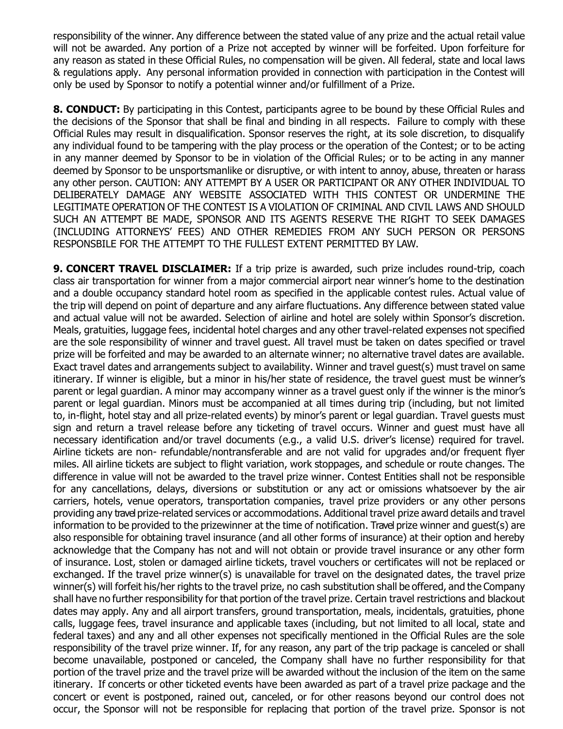responsibility of the winner. Any difference between the stated value of any prize and the actual retail value will not be awarded. Any portion of a Prize not accepted by winner will be forfeited. Upon forfeiture for any reason as stated in these Official Rules, no compensation will be given. All federal, state and local laws & regulations apply. Any personal information provided in connection with participation in the Contest will only be used by Sponsor to notify a potential winner and/or fulfillment of a Prize.

**8. CONDUCT:** By participating in this Contest, participants agree to be bound by these Official Rules and the decisions of the Sponsor that shall be final and binding in all respects. Failure to comply with these Official Rules may result in disqualification. Sponsor reserves the right, at its sole discretion, to disqualify any individual found to be tampering with the play process or the operation of the Contest; or to be acting in any manner deemed by Sponsor to be in violation of the Official Rules; or to be acting in any manner deemed by Sponsor to be unsportsmanlike or disruptive, or with intent to annoy, abuse, threaten or harass any other person. CAUTION: ANY ATTEMPT BY A USER OR PARTICIPANT OR ANY OTHER INDIVIDUAL TO DELIBERATELY DAMAGE ANY WEBSITE ASSOCIATED WITH THIS CONTEST OR UNDERMINE THE LEGITIMATE OPERATION OF THE CONTEST IS A VIOLATION OF CRIMINAL AND CIVIL LAWS AND SHOULD SUCH AN ATTEMPT BE MADE, SPONSOR AND ITS AGENTS RESERVE THE RIGHT TO SEEK DAMAGES (INCLUDING ATTORNEYS' FEES) AND OTHER REMEDIES FROM ANY SUCH PERSON OR PERSONS RESPONSBILE FOR THE ATTEMPT TO THE FULLEST EXTENT PERMITTED BY LAW.

**9. CONCERT TRAVEL DISCLAIMER:** If a trip prize is awarded, such prize includes round-trip, coach class air transportation for winner from a major commercial airport near winner's home to the destination and a double occupancy standard hotel room as specified in the applicable contest rules. Actual value of the trip will depend on point of departure and any airfare fluctuations. Any difference between stated value and actual value will not be awarded. Selection of airline and hotel are solely within Sponsor's discretion. Meals, gratuities, luggage fees, incidental hotel charges and any other travel-related expenses not specified are the sole responsibility of winner and travel guest. All travel must be taken on dates specified or travel prize will be forfeited and may be awarded to an alternate winner; no alternative travel dates are available. Exact travel dates and arrangements subject to availability. Winner and travel guest(s) must travel on same itinerary. If winner is eligible, but a minor in his/her state of residence, the travel guest must be winner's parent or legal guardian. A minor may accompany winner as a travel guest only if the winner is the minor's parent or legal guardian. Minors must be accompanied at all times during trip (including, but not limited to, in-flight, hotel stay and all prize-related events) by minor's parent or legal guardian. Travel guests must sign and return a travel release before any ticketing of travel occurs. Winner and guest must have all necessary identification and/or travel documents (e.g., a valid U.S. driver's license) required for travel. Airline tickets are non- refundable/nontransferable and are not valid for upgrades and/or frequent flyer miles. All airline tickets are subject to flight variation, work stoppages, and schedule or route changes. The difference in value will not be awarded to the travel prize winner. Contest Entities shall not be responsible for any cancellations, delays, diversions or substitution or any act or omissions whatsoever by the air carriers, hotels, venue operators, transportation companies, travel prize providers or any other persons providing any travel prize-related services or accommodations. Additional travel prize award details and travel information to be provided to the prizewinner at the time of notification. Travel prize winner and guest(s) are also responsible for obtaining travel insurance (and all other forms of insurance) at their option and hereby acknowledge that the Company has not and will not obtain or provide travel insurance or any other form of insurance. Lost, stolen or damaged airline tickets, travel vouchers or certificates will not be replaced or exchanged. If the travel prize winner(s) is unavailable for travel on the designated dates, the travel prize winner(s) will forfeit his/her rights to the travel prize, no cash substitution shall be offered, and the Company shall have no further responsibility for that portion of the travel prize. Certain travel restrictions and blackout dates may apply. Any and all airport transfers, ground transportation, meals, incidentals, gratuities, phone calls, luggage fees, travel insurance and applicable taxes (including, but not limited to all local, state and federal taxes) and any and all other expenses not specifically mentioned in the Official Rules are the sole responsibility of the travel prize winner. If, for any reason, any part of the trip package is canceled or shall become unavailable, postponed or canceled, the Company shall have no further responsibility for that portion of the travel prize and the travel prize will be awarded without the inclusion of the item on the same itinerary. If concerts or other ticketed events have been awarded as part of a travel prize package and the concert or event is postponed, rained out, canceled, or for other reasons beyond our control does not occur, the Sponsor will not be responsible for replacing that portion of the travel prize. Sponsor is not